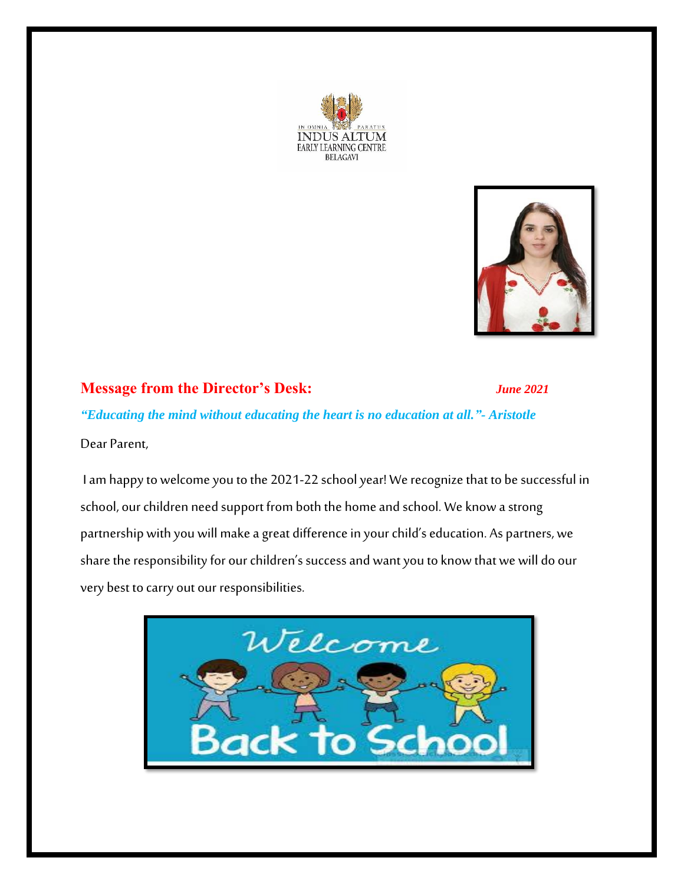



## **Message from the Director's Desk:** *June 2021*

*"Educating the mind without educating the heart is no education at all."- Aristotle*

Dear Parent,

I am happy to welcome you to the 2021-22 school year! We recognize that to be successful in school, our children need support from both the home and school. We know a strong partnership with you will make a great difference in your child's education. As partners, we share the responsibility for our children's success and want you to know that we will do our very best to carry out our responsibilities.

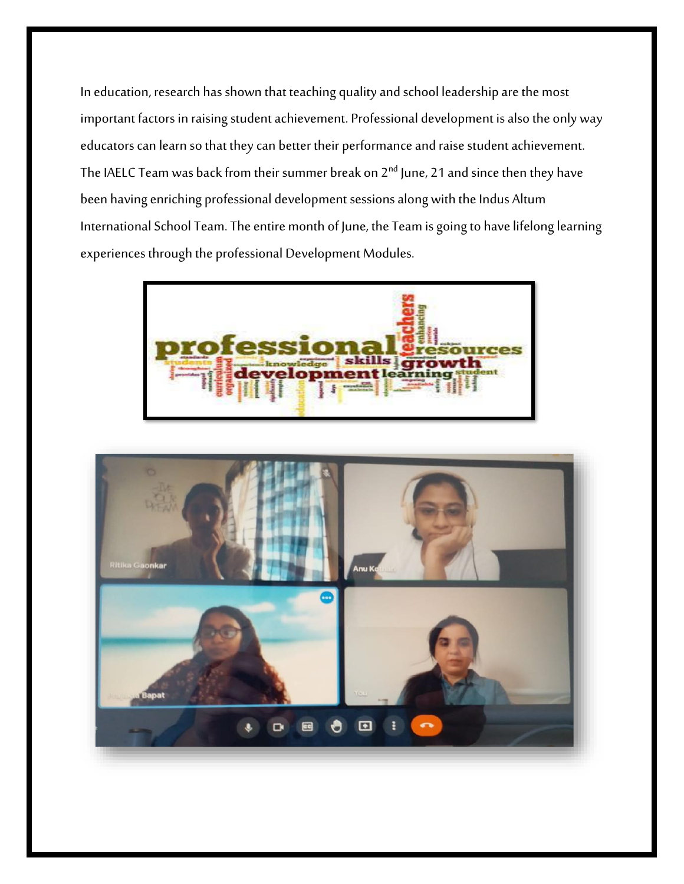In education, research has shown that teaching quality and school leadership are the most important factors in raising student achievement. Professional development is also the only way educators can learn so that they can better their performance and raise student achievement. The IAELC Team was back from their summer break on 2<sup>nd</sup> June, 21 and since then they have been having enriching professional development sessions along with the Indus Altum International School Team. The entire month of June, the Team is going to have lifelong learning experiences through the professional Development Modules.



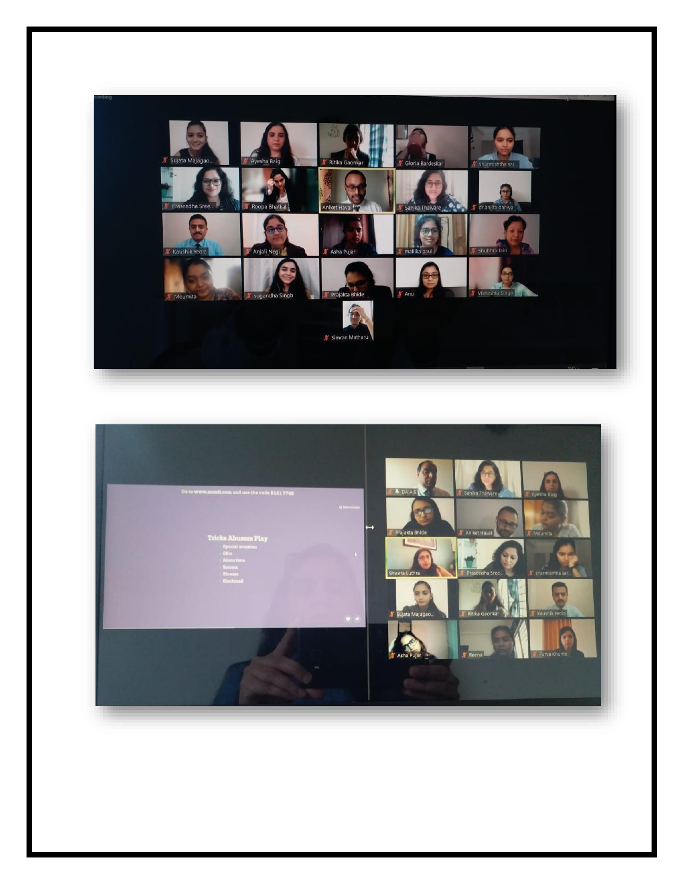

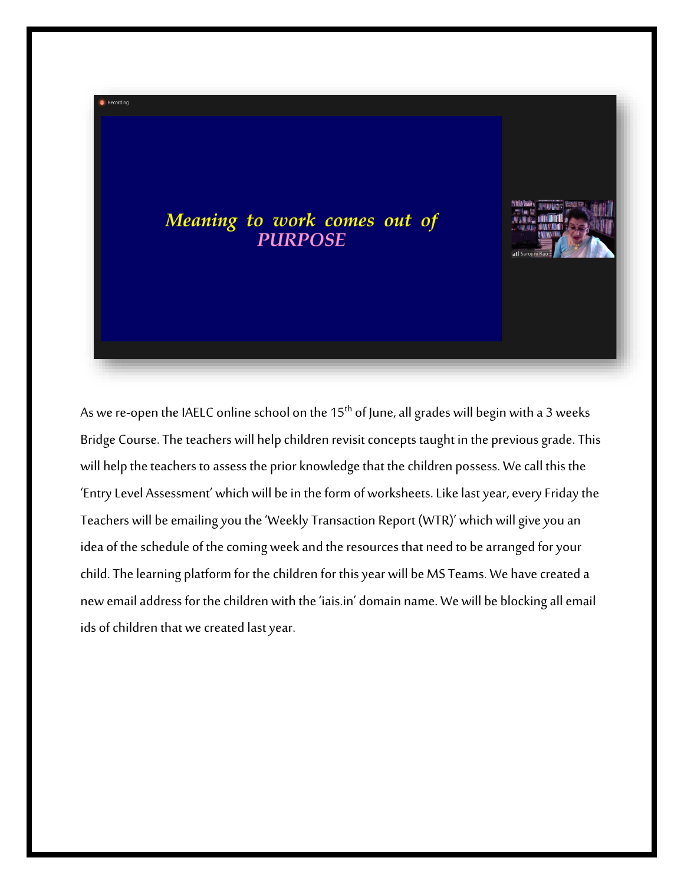## Meaning to work comes out of<br>PURPOSE



As we re-open the IAELC online school on the 15<sup>th</sup> of June, all grades will begin with a 3 weeks Bridge Course. The teachers will help children revisit concepts taught in the previous grade. This will help the teachers to assess the prior knowledge that the children possess. We call this the 'Entry Level Assessment' which will be in the form of worksheets. Like last year, every Friday the Teachers will be emailing you the 'Weekly Transaction Report (WTR)' which will give you an idea of the schedule of the coming week and the resources that need to be arranged for your child.The learning platform for the children for this year will be MS Teams. We have created a new email address for the children with the 'iais.in' domain name. We will be blocking all email ids of children that we created last year.